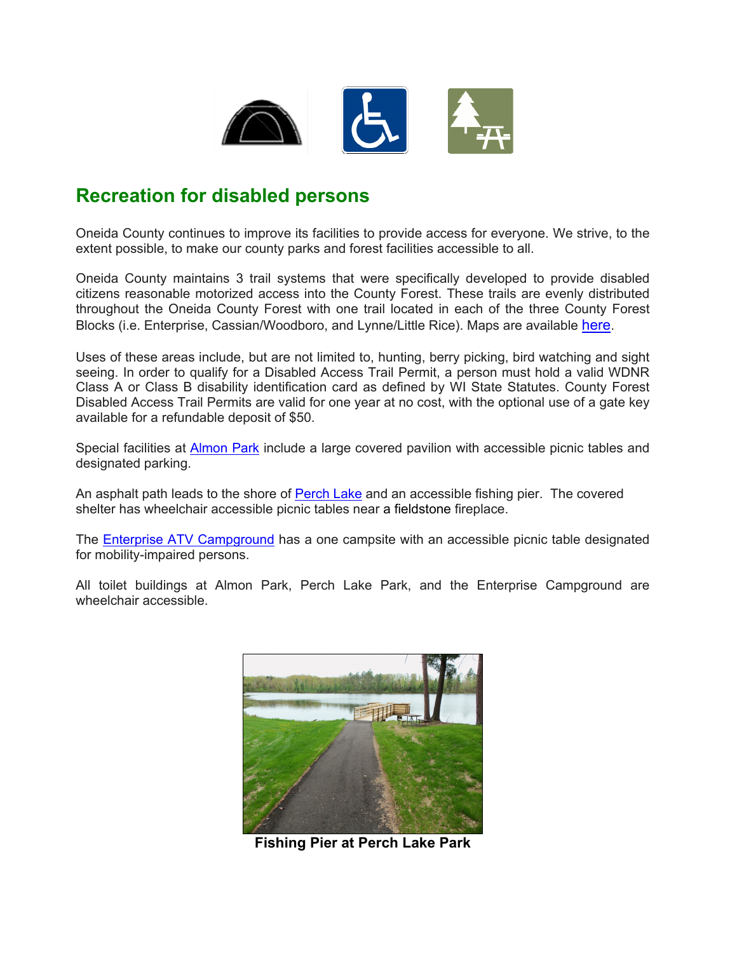

## **Recreation for disabled persons**

Oneida County continues to improve its facilities to provide access for everyone. We strive, to the extent possible, to make our county parks and forest facilities accessible to all.

Oneida County maintains 3 trail systems that were specifically developed to provide disabled citizens reasonable motorized access into the County Forest. These trails are evenly distributed throughout the Oneida County Forest with one trail located in each of the three County Forest Blocks (i.e. Enterprise, Cassian/Woodboro, and Lynne/Little Rice). Maps are available [here.](https://www.co.oneida.wi.us/departments/fr/recreational-maps/)

Uses of these areas include, but are not limited to, hunting, berry picking, bird watching and sight seeing. In order to qualify for a Disabled Access Trail Permit, a person must hold a valid WDNR Class A or Class B disability identification card as defined by WI State Statutes. County Forest Disabled Access Trail Permits are valid for one year at no cost, with the optional use of a gate key available for a refundable deposit of \$50.

Special facilities at [Almon Park](https://www.co.oneida.wi.us/departments/fr/parks-campground/) include a large covered pavilion with accessible picnic tables and designated parking.

An asphalt path leads to the shore of [Perch Lake](https://www.co.oneida.wi.us/departments/fr/parks-campground/) and an accessible fishing pier. The covered shelter has wheelchair accessible picnic tables near a fieldstone fireplace.

The [Enterprise ATV Campground](https://www.co.oneida.wi.us/departments/fr/parks-campground/) has a one campsite with an accessible picnic table designated for mobility-impaired persons.

All toilet buildings at Almon Park, Perch Lake Park, and the Enterprise Campground are wheelchair accessible.



**Fishing Pier at Perch Lake Park**